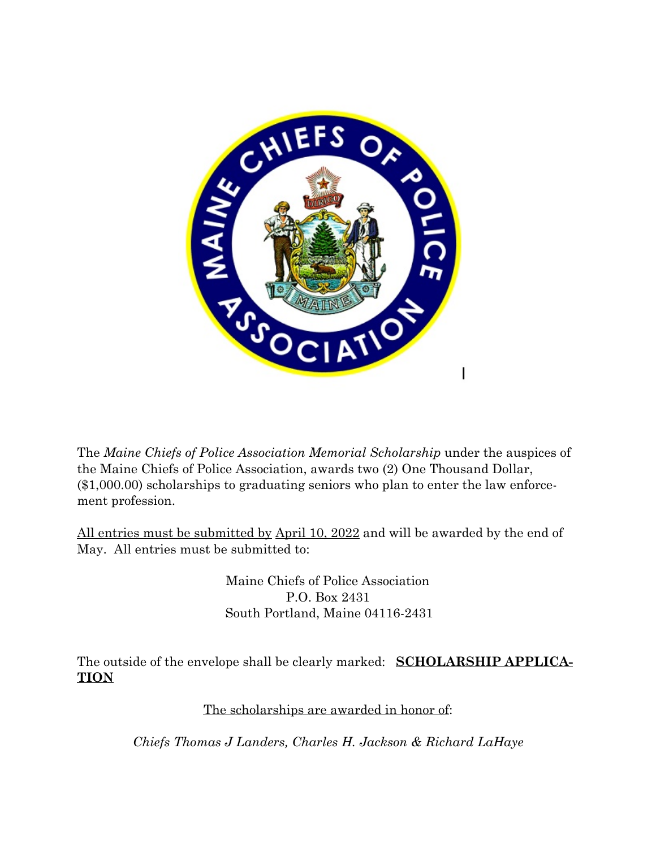

The *Maine Chiefs of Police Association Memorial Scholarship* under the auspices of the Maine Chiefs of Police Association, awards two (2) One Thousand Dollar, (\$1,000.00) scholarships to graduating seniors who plan to enter the law enforcement profession.

All entries must be submitted by April 10, 2022 and will be awarded by the end of May. All entries must be submitted to:

> Maine Chiefs of Police Association P.O. Box 2431 South Portland, Maine 04116-2431

The outside of the envelope shall be clearly marked: **SCHOLARSHIP APPLICA-TION**

The scholarships are awarded in honor of:

*Chiefs Thomas J Landers, Charles H. Jackson & Richard LaHaye*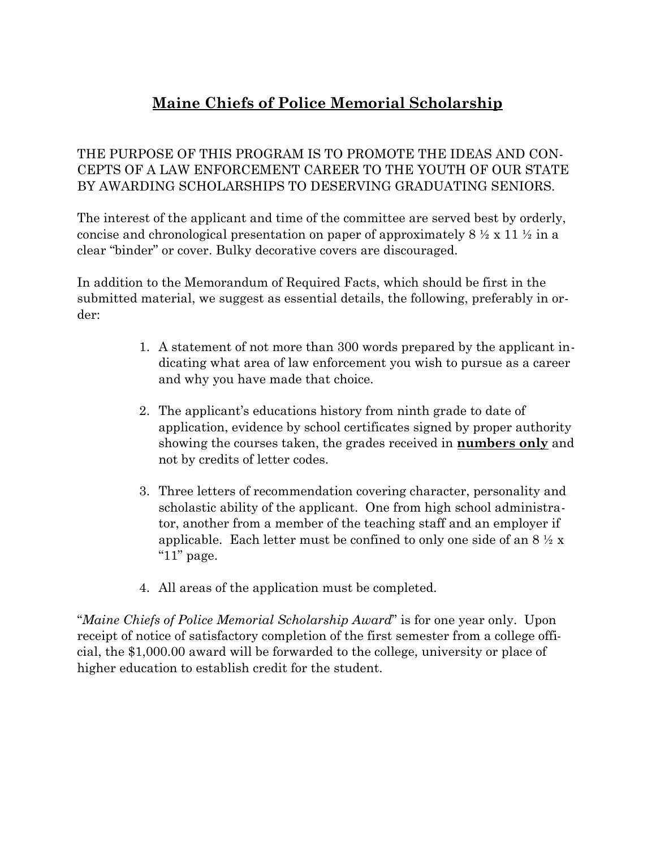# **Maine Chiefs of Police Memorial Scholarship**

#### THE PURPOSE OF THIS PROGRAM IS TO PROMOTE THE IDEAS AND CON-CEPTS OF A LAW ENFORCEMENT CAREER TO THE YOUTH OF OUR STATE BY AWARDING SCHOLARSHIPS TO DESERVING GRADUATING SENIORS.

The interest of the applicant and time of the committee are served best by orderly, concise and chronological presentation on paper of approximately  $8 \frac{1}{2} \times 11 \frac{1}{2}$  in a clear "binder" or cover. Bulky decorative covers are discouraged.

In addition to the Memorandum of Required Facts, which should be first in the submitted material, we suggest as essential details, the following, preferably in order:

- 1. A statement of not more than 300 words prepared by the applicant indicating what area of law enforcement you wish to pursue as a career and why you have made that choice.
- 2. The applicant's educations history from ninth grade to date of application, evidence by school certificates signed by proper authority showing the courses taken, the grades received in **numbers only** and not by credits of letter codes.
- 3. Three letters of recommendation covering character, personality and scholastic ability of the applicant. One from high school administrator, another from a member of the teaching staff and an employer if applicable. Each letter must be confined to only one side of an  $8\frac{1}{2}x$ " $11$ " page.
- 4. All areas of the application must be completed.

"*Maine Chiefs of Police Memorial Scholarship Award*" is for one year only. Upon receipt of notice of satisfactory completion of the first semester from a college official, the \$1,000.00 award will be forwarded to the college, university or place of higher education to establish credit for the student.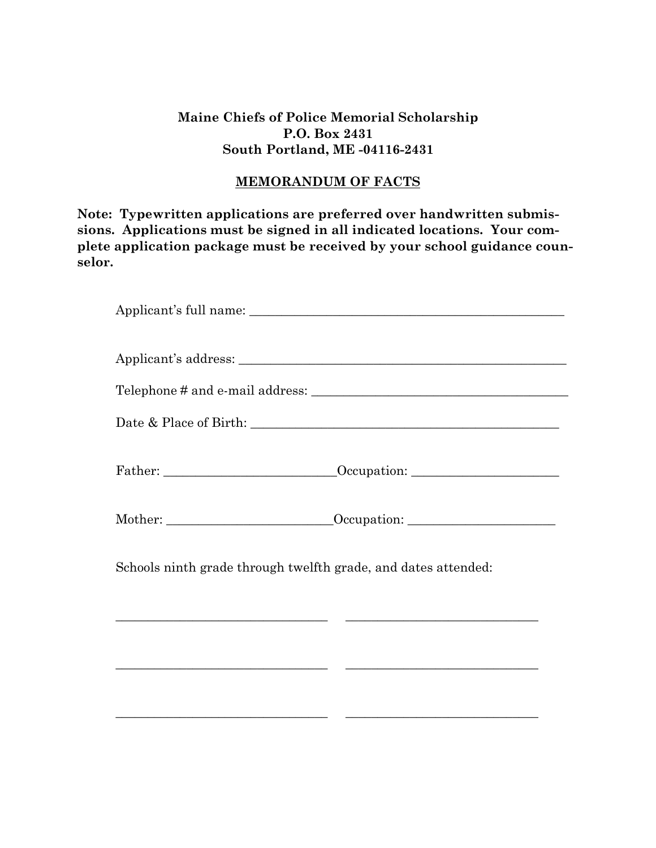#### **Maine Chiefs of Police Memorial Scholarship P.O. Box 2431 South Portland, ME -04116-2431**

#### **MEMORANDUM OF FACTS**

**Note: Typewritten applications are preferred over handwritten submissions. Applications must be signed in all indicated locations. Your complete application package must be received by your school guidance counselor.** 

| Schools ninth grade through twelfth grade, and dates attended:                                                        |
|-----------------------------------------------------------------------------------------------------------------------|
| <u> 1989 - Johann Stoff, deutscher Stoff, der Stoff, der Stoff, der Stoff, der Stoff, der Stoff, der Stoff, der S</u> |
|                                                                                                                       |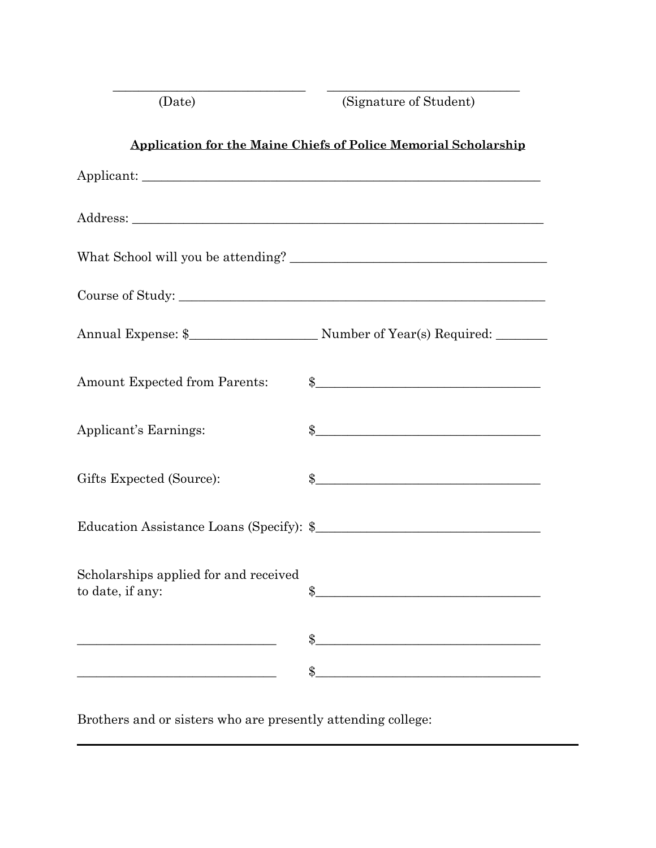| (Date)                                                    | (Signature of Student)                                                                                                     |
|-----------------------------------------------------------|----------------------------------------------------------------------------------------------------------------------------|
|                                                           | <b>Application for the Maine Chiefs of Police Memorial Scholarship</b>                                                     |
|                                                           |                                                                                                                            |
|                                                           |                                                                                                                            |
|                                                           |                                                                                                                            |
|                                                           |                                                                                                                            |
|                                                           |                                                                                                                            |
| <b>Amount Expected from Parents:</b>                      | $\frac{1}{2}$                                                                                                              |
| Applicant's Earnings:                                     | $\frac{1}{2}$                                                                                                              |
| Gifts Expected (Source):                                  | $\frac{1}{2}$                                                                                                              |
|                                                           |                                                                                                                            |
| Scholarships applied for and received<br>to date, if any: | $^{\circ}$                                                                                                                 |
|                                                           | \$<br><u> 1989 - Johann John Stein, mars ar yw y cynnwys y cynnwys y cynnwys y cynnwys y cynnwys y cynnwys y cynnwys y</u> |
|                                                           | \$                                                                                                                         |

Brothers and or sisters who are presently attending college: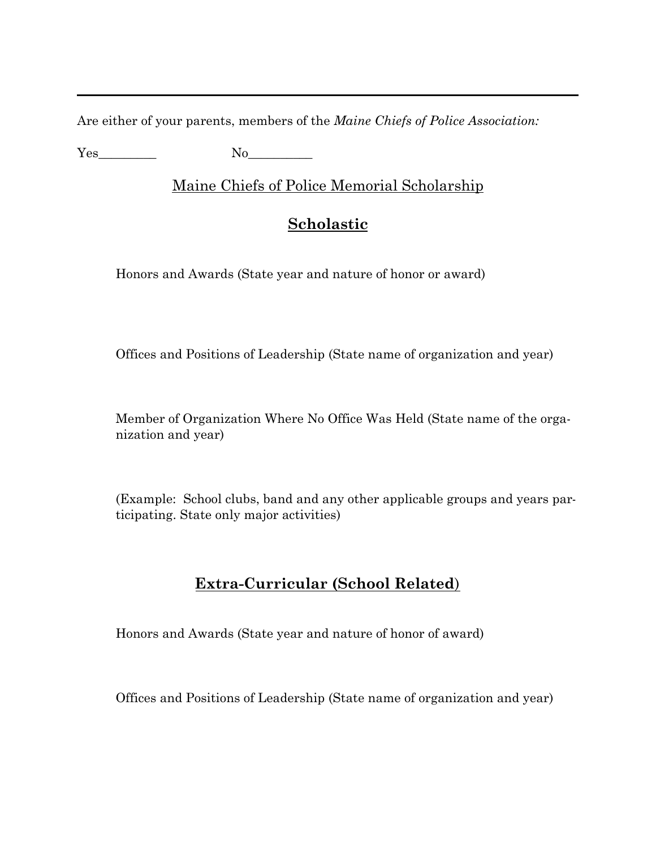Are either of your parents, members of the *Maine Chiefs of Police Association:* 

Yes No

Maine Chiefs of Police Memorial Scholarship

## **Scholastic**

Honors and Awards (State year and nature of honor or award)

Offices and Positions of Leadership (State name of organization and year)

Member of Organization Where No Office Was Held (State name of the organization and year)

(Example: School clubs, band and any other applicable groups and years participating. State only major activities)

### **Extra-Curricular (School Related**)

Honors and Awards (State year and nature of honor of award)

Offices and Positions of Leadership (State name of organization and year)